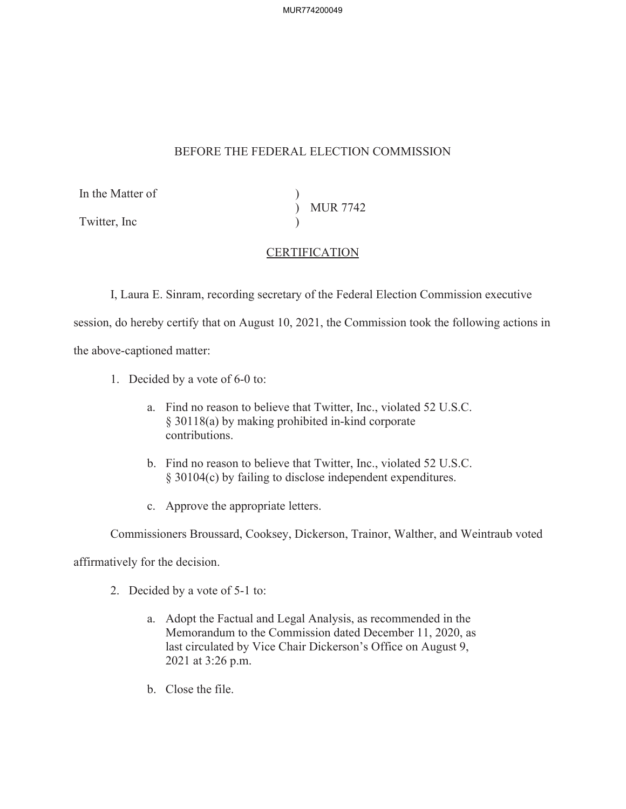MUR774200049

## BEFORE THE FEDERAL ELECTION COMMISSION

In the Matter of )

Twitter, Inc

) MUR 7742  $\mathcal{L}$ 

## CERTIFICATION

I, Laura E. Sinram, recording secretary of the Federal Election Commission executive

session, do hereby certify that on August 10, 2021, the Commission took the following actions in

the above-captioned matter:

- 1. Decided by a vote of 6-0 to:
	- a. Find no reason to believe that Twitter, Inc., violated 52 U.S.C. § 30118(a) by making prohibited in-kind corporate contributions.
	- b. Find no reason to believe that Twitter, Inc., violated 52 U.S.C. § 30104(c) by failing to disclose independent expenditures.
	- c. Approve the appropriate letters.

Commissioners Broussard, Cooksey, Dickerson, Trainor, Walther, and Weintraub voted

affirmatively for the decision.

- 2. Decided by a vote of 5-1 to:
	- a. Adopt the Factual and Legal Analysis, as recommended in the Memorandum to the Commission dated December 11, 2020, as last circulated by Vice Chair Dickerson's Office on August 9, 2021 at 3:26 p.m.
	- b. Close the file.